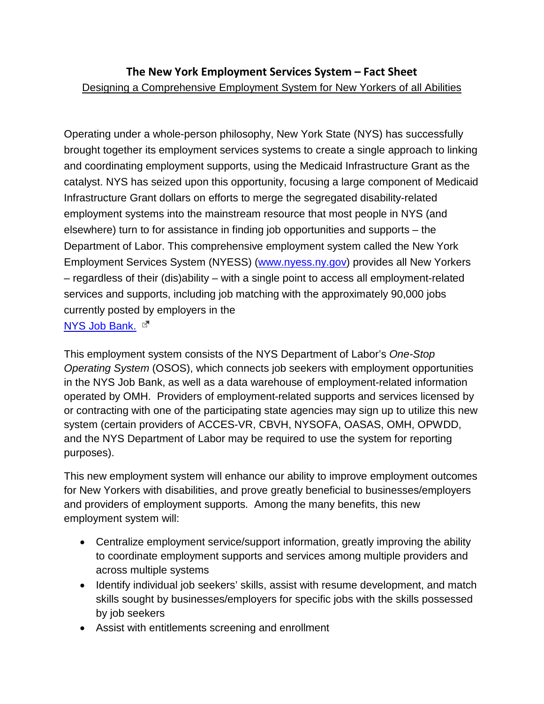## **The New York Employment Services System – Fact Sheet** Designing a Comprehensive Employment System for New Yorkers of all Abilities

Operating under a whole-person philosophy, New York State (NYS) has successfully brought together its employment services systems to create a single approach to linking and coordinating employment supports, using the Medicaid Infrastructure Grant as the catalyst. NYS has seized upon this opportunity, focusing a large component of Medicaid Infrastructure Grant dollars on efforts to merge the segregated disability-related employment systems into the mainstream resource that most people in NYS (and elsewhere) turn to for assistance in finding job opportunities and supports – the Department of Labor. This comprehensive employment system called the New York Employment Services System (NYESS) [\(www.nyess.ny.gov\)](http://www.nyess.ny.gov/) provides all New Yorkers – regardless of their (dis)ability – with a single point to access all employment-related services and supports, including job matching with the approximately 90,000 jobs currently posted by employers in the NYS [Job Bank.](http://www.jobcentral.org/ny/)  $\mathbb{E}^{\mathbb{T}}$ 

This employment system consists of the NYS Department of Labor's *One-Stop Operating System* (OSOS), which connects job seekers with employment opportunities in the NYS Job Bank, as well as a data warehouse of employment-related information operated by OMH. Providers of employment-related supports and services licensed by or contracting with one of the participating state agencies may sign up to utilize this new system (certain providers of ACCES-VR, CBVH, NYSOFA, OASAS, OMH, OPWDD, and the NYS Department of Labor may be required to use the system for reporting purposes).

This new employment system will enhance our ability to improve employment outcomes for New Yorkers with disabilities, and prove greatly beneficial to businesses/employers and providers of employment supports. Among the many benefits, this new employment system will:

- Centralize employment service/support information, greatly improving the ability to coordinate employment supports and services among multiple providers and across multiple systems
- Identify individual job seekers' skills, assist with resume development, and match skills sought by businesses/employers for specific jobs with the skills possessed by job seekers
- Assist with entitlements screening and enrollment